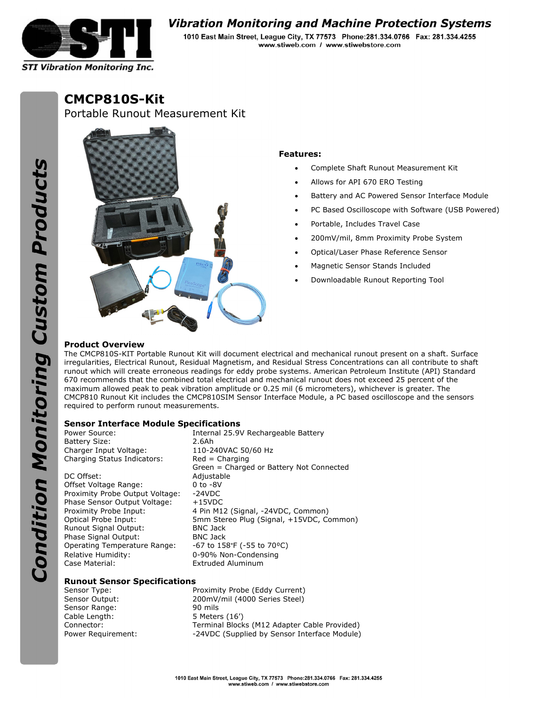

# **Vibration Monitoring and Machine Protection Systems**

1010 East Main Street, League City, TX 77573 Phone: 281.334.0766 Fax: 281.334.4255 www.stiweb.com / www.stiwebstore.com

**CMCP810S-Kit** 

Portable Runout Measurement Kit



## **Features:**

- Complete Shaft Runout Measurement Kit
- Allows for API 670 ERO Testing
- Battery and AC Powered Sensor Interface Module
- PC Based Oscilloscope with Software (USB Powered)
- Portable, Includes Travel Case
- 200mV/mil, 8mm Proximity Probe System
- Optical/Laser Phase Reference Sensor
- Magnetic Sensor Stands Included
- Downloadable Runout Reporting Tool

# **Product Overview**

The CMCP810S-KIT Portable Runout Kit will document electrical and mechanical runout present on a shaft. Surface irregularities, Electrical Runout, Residual Magnetism, and Residual Stress Concentrations can all contribute to shaft runout which will create erroneous readings for eddy probe systems. American Petroleum Institute (API) Standard 670 recommends that the combined total electrical and mechanical runout does not exceed 25 percent of the maximum allowed peak to peak vibration amplitude or 0.25 mil (6 micrometers), whichever is greater. The CMCP810 Runout Kit includes the CMCP810SIM Sensor Interface Module, a PC based oscilloscope and the sensors required to perform runout measurements.

#### **Sensor Interface Module Specifications**

| Power Source:                   | Internal 25.9V Rechargeable Battery      |
|---------------------------------|------------------------------------------|
| <b>Battery Size:</b>            | 2.6Ah                                    |
| Charger Input Voltage:          | 110-240VAC 50/60 Hz                      |
| Charging Status Indicators:     | $Red = Charging$                         |
|                                 | Green = Charged or Battery Not Connected |
| DC Offset:                      | Adjustable                               |
| Offset Voltage Range:           | $0$ to $-8V$                             |
| Proximity Probe Output Voltage: | $-24VDC$                                 |
| Phase Sensor Output Voltage:    | $+15$ VDC                                |
| Proximity Probe Input:          | 4 Pin M12 (Signal, -24VDC, Common)       |
| Optical Probe Input:            | 5mm Stereo Plug (Signal, +15VDC, Common) |
| Runout Signal Output:           | <b>BNC Jack</b>                          |
| Phase Signal Output:            | <b>BNC Jack</b>                          |
| Operating Temperature Range:    | $-67$ to 158°F ( $-55$ to 70°C)          |
| Relative Humidity:              | 0-90% Non-Condensing                     |
| Case Material:                  | <b>Extruded Aluminum</b>                 |

### **Runout Sensor Specifications**

Sensor Range: 90 mils Cable Length: 5 Meters (16')

Sensor Type: Proximity Probe (Eddy Current) Sensor Output: 200mV/mil (4000 Series Steel) Connector: Terminal Blocks (M12 Adapter Cable Provided) Power Requirement: -24VDC (Supplied by Sensor Interface Module)